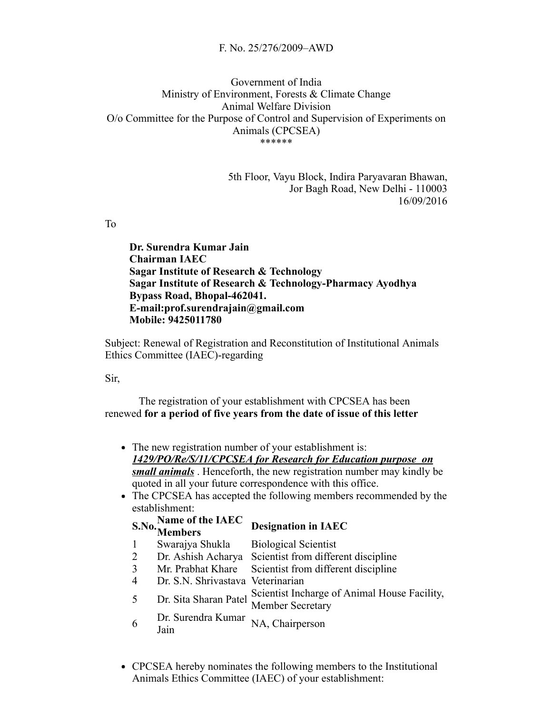## F. No. 25/276/2009–AWD

## Government of India Ministry of Environment, Forests & Climate Change Animal Welfare Division O/o Committee for the Purpose of Control and Supervision of Experiments on Animals (CPCSEA) \*\*\*\*\*\*

5th Floor, Vayu Block, Indira Paryavaran Bhawan, Jor Bagh Road, New Delhi - 110003 16/09/2016

To

Dr. Surendra Kumar Jain Chairman IAEC Sagar Institute of Research & Technology Sagar Institute of Research & Technology-Pharmacy Ayodhya Bypass Road, Bhopal-462041.  $E$ -mail:prof.surendrajain@gmail.com Mobile: 9425011780

Subject: Renewal of Registration and Reconstitution of Institutional Animals Ethics Committee (IAEC)-regarding

Sir,

The registration of your establishment with CPCSEA has been renewed for a period of five years from the date of issue of this letter

- The new registration number of your establishment is: 1429/PO/Re/S/11/CPCSEA for Research for Education purpose on small animals. Henceforth, the new registration number may kindly be quoted in all your future correspondence with this office.
- The CPCSEA has accepted the following members recommended by the establishment:

|                | <b>S.No.</b> Name of the IAEC<br>Members | <b>Designation in IAEC</b>                                       |
|----------------|------------------------------------------|------------------------------------------------------------------|
| $\mathbf{1}$   | Swarajya Shukla                          | <b>Biological Scientist</b>                                      |
| $\overline{2}$ | Dr. Ashish Acharya                       | Scientist from different discipline                              |
| 3              | Mr. Prabhat Khare                        | Scientist from different discipline                              |
| $\overline{4}$ | Dr. S.N. Shrivastava Veterinarian        |                                                                  |
| 5              | Dr. Sita Sharan Patel                    | Scientist Incharge of Animal House Facility,<br>Member Secretary |
| 6              | Dr. Surendra Kumar<br>Jain               | NA, Chairperson                                                  |

CPCSEA hereby nominates the following members to the Institutional Animals Ethics Committee (IAEC) of your establishment: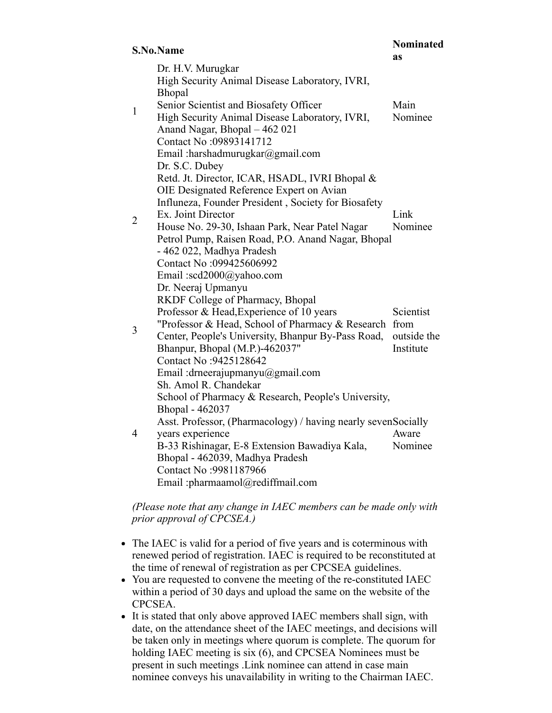## S.No.Name

Nominated

|                | эл уол уашт                                                                                                                                                                                                                                                                                                                                                                          | as                                    |
|----------------|--------------------------------------------------------------------------------------------------------------------------------------------------------------------------------------------------------------------------------------------------------------------------------------------------------------------------------------------------------------------------------------|---------------------------------------|
|                | Dr. H.V. Murugkar<br>High Security Animal Disease Laboratory, IVRI,<br>Bhopal<br>Senior Scientist and Biosafety Officer                                                                                                                                                                                                                                                              | Main                                  |
| $\mathbf{1}$   | High Security Animal Disease Laboratory, IVRI,<br>Anand Nagar, Bhopal - 462 021<br>Contact No:09893141712<br>Email :harshadmurugkar@gmail.com                                                                                                                                                                                                                                        | Nominee                               |
| $\overline{2}$ | Dr. S.C. Dubey<br>Retd. Jt. Director, ICAR, HSADL, IVRI Bhopal &<br>OIE Designated Reference Expert on Avian<br>Influneza, Founder President, Society for Biosafety<br>Ex. Joint Director<br>House No. 29-30, Ishaan Park, Near Patel Nagar<br>Petrol Pump, Raisen Road, P.O. Anand Nagar, Bhopal<br>- 462 022, Madhya Pradesh<br>Contact No:099425606992<br>Email:scd2000@yahoo.com | Link<br>Nominee                       |
| 3              | Dr. Neeraj Upmanyu<br>RKDF College of Pharmacy, Bhopal<br>Professor & Head, Experience of 10 years<br>"Professor & Head, School of Pharmacy & Research from<br>Center, People's University, Bhanpur By-Pass Road,<br>Bhanpur, Bhopal (M.P.)-462037"<br>Contact No: 9425128642<br>Email : drneerajupmanyu@gmail.com<br>Sh. Amol R. Chandekar                                          | Scientist<br>outside the<br>Institute |
| 4              | School of Pharmacy & Research, People's University,<br>Bhopal - 462037<br>Asst. Professor, (Pharmacology) / having nearly sevenSocially<br>years experience<br>B-33 Rishinagar, E-8 Extension Bawadiya Kala,<br>Bhopal - 462039, Madhya Pradesh<br>Contact No: 9981187966<br>Email :pharmaamol@rediffmail.com                                                                        | Aware<br>Nominee                      |

(Please note that any change in IAEC members can be made only with prior approval of CPCSEA.)

- The IAEC is valid for a period of five years and is coterminous with renewed period of registration. IAEC is required to be reconstituted at the time of renewal of registration as per CPCSEA guidelines.
- You are requested to convene the meeting of the re-constituted IAEC within a period of 30 days and upload the same on the website of the CPCSEA.
- It is stated that only above approved IAEC members shall sign, with date, on the attendance sheet of the IAEC meetings, and decisions will be taken only in meetings where quorum is complete. The quorum for holding IAEC meeting is six (6), and CPCSEA Nominees must be present in such meetings .Link nominee can attend in case main nominee conveys his unavailability in writing to the Chairman IAEC.